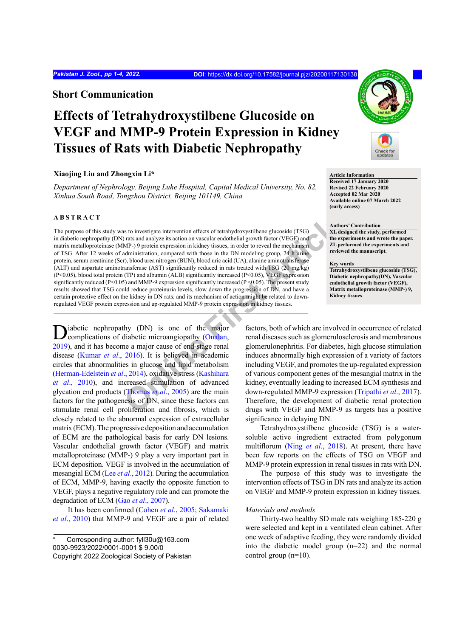## **Short Communication**

# **Effects of Tetrahydroxystilbene Glucoside on VEGF and MMP-9 Protein Expression in Kidney Tissues of Rats with Diabetic Nephropathy**

## **Xiaojing Liu and Zhongxin Li\***

*Department of Nephrology, Beijing Luhe Hospital, Capital Medical University, No. 82, Xinhua South Road, Tongzhou District, Beijing 101149, China*

## **ABSTRACT**

as to inv[e](#page-3-0)stigate intervention effects of etrahydroxystillone glueoside (TSG)<br>
Thats and analyze its action on vascular endothelial growth factor (VEG[F](#page-3-0)) and<br>
MP-) 9 protein expression in kidney tissues, in order to reveal The purpose of this study was to investigate intervention effects of tetrahydroxystilbene glucoside (TSG) in diabetic nephropathy (DN) rats and analyze its action on vascular endothelial growth factor (VEGF) and matrix metalloproteinase (MMP-) 9 protein expression in kidney tissues, in order to reveal the mechanism of TSG. After 12 weeks of administration, compared with those in the DN modeling group, 24 h urine protein, serum creatinine (Scr), blood urea nitrogen (BUN), blood uric acid (UA), alanine aminotransferase (ALT) and aspartate aminotransferase (AST) significantly reduced in rats treated with TSG (20 mg/kg) (P<0.05), blood total protein (TP) and albumin (ALB) significantly increased (P<0.05), VEGF expression significantly reduced (P<0.05) and MMP-9 expression significantly increased (P <0.05). The present study results showed that TSG could reduce proteinuria levels, slow down the progression of DN, and have a certain protective effect on the kidney in DN rats; and its mechanism of action might be related to downregulated VEGF protein expression and up-regulated MMP-9 protein expression in kidney tissues.

iabetic nephropathy (DN) is one of the major complications of diabetic microangiopathy (Onalan, [2019](#page-3-0)), and it has become a major cause of end-stage renal disease [\(Kumar](#page-3-1) *et al*., 2016). It is believed in academic circles that abnormalities in glucose and lipid metabolism [\(Herman-Edelstein](#page-3-2) *et al*., 2014), oxidative stress (Kashihara *et al*[., 2010](#page-3-3)), and increased stimulation of advanced glycation end products (Thomas *et al*., 2005) are the main factors for the pathogenesis of DN, since these factors can stimulate renal cell proliferation and fibrosis, which is closely related to the abnormal expression of extracellular matrix (ECM). The progressive deposition and accumulation of ECM are the pathological basis for early DN lesions. Vascular endothelial growth factor (VEGF) and matrix metalloproteinase (MMP-) 9 play a very important part in ECM deposition. VEGF is involved in the accumulation of mesangial ECM (Lee *et al*[., 2012](#page-3-5))*.* During the accumulation of ECM, MMP-9, having exactly the opposite function to VEGF, plays a negative regulatory role and can promote the degradation of ECM (Gao *et al*[., 2007](#page-3-6)).

It has been confirmed ([Cohen](#page-3-7) *et al*., 2005; Sakamaki *et al*., 2010) that MMP-9 and VEGF are a pair of related



**Article Information Received 17 January 2020 Revised 22 February 2020 Accepted 02 Mar 2020 Available online 07 March 2022 (early access)**

**Authors' Contribution XL designed the study, performed the experiments and wrote the paper. ZL performed the experiments and reviewed the manuscript.**

#### **Key words**

**Tetrahydroxystilbene glucoside (TSG), Diabetic nephropathy(DN), Vascular endothelial growth factor (VEGF), Matrix metalloproteinase (MMP-) 9, Kidney tissues**

factors, both of which are involved in occurrence of related renal diseases such as glomerulosclerosis and membranous glomerulonephritis. For diabetes, high glucose stimulation induces abnormally high expression of a variety of factors including VEGF, and promotes the up-regulated expression of various component genes of the mesangial matrix in the kidney, eventually leading to increased ECM synthesis and down-regulated MMP-9 expression ([Tripathi](#page-3-8) *et al*., 2017). Therefore, the development of diabetic renal protection drugs with VEGF and MMP-9 as targets has a positive significance in delaying DN.

Tetrahydroxystilbene glucoside (TSG) is a watersoluble active ingredient extracted from polygonum multiflorum (Ning *et al*[., 2018](#page-3-9)). At present, there have been few reports on the effects of TSG on VEGF and MMP-9 protein expression in renal tissues in rats with DN.

The purpose of this study was to investigate the intervention effects of TSG in DN rats and analyze its action on VEGF and MMP-9 protein expression in kidney tissues.

## *Materials and methods*

Thirty-two healthy SD male rats weighing 185-220 g were selected and kept in a ventilated clean cabinet. After one week of adaptive feeding, they were randomly divided into the diabetic model group (n=22) and the normal control group (n=10).

Corresponding author: fyll30u@163.com 0030-9923/2022/0001-0001 \$ 9.00/0

Copyright 2022 Zoological Society of Pakistan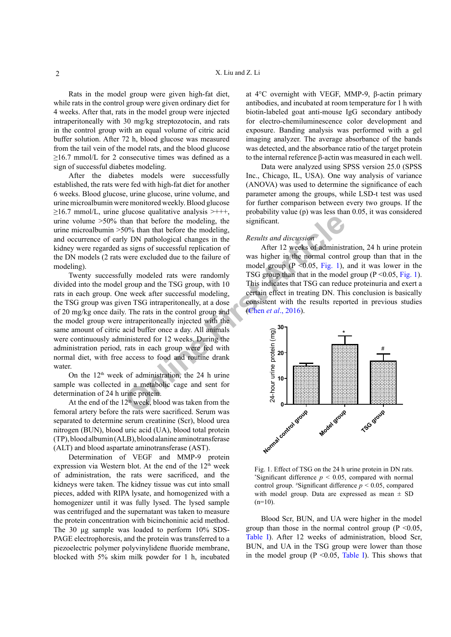Rats in the model group were given high-fat diet, while rats in the control group were given ordinary diet for 4 weeks. After that, rats in the model group were injected intraperitoneally with 30 mg/kg streptozotocin, and rats in the control group with an equal volume of citric acid buffer solution. After 72 h, blood glucose was measured from the tail vein of the model rats, and the blood glucose  $\geq$ 16.7 mmol/L for 2 consecutive times was defined as a sign of successful diabetes modeling.

After the diabetes models were successfully established, the rats were fed with high-fat diet for another 6 weeks. Blood glucose, urine glucose, urine volume, and urine microalbumin were monitored weekly. Blood glucose  $\geq$ 16.7 mmol/L, urine glucose qualitative analysis  $\geq$ +++, urine volume >50% than that before the modeling, the urine microalbumin >50% than that before the modeling, and occurrence of early DN pathological changes in the kidney were regarded as signs of successful replication of the DN models (2 rats were excluded due to the failure of modeling).

**Example 10**<br> **Example 10**<br> **Example 10**<br> **Example 10**<br> **Example 10**<br> **Example 10**<br> **Example 10**<br> **Example 10**<br> **Example 10**<br> **Example 10**<br> **Example 10**<br> **Example 10**<br> **Example 10**<br> **Example 10**<br> **Example 10**<br> **Example 10** Twenty successfully modeled rats were randomly divided into the model group and the TSG group, with 10 rats in each group. One week after successful modeling, the TSG group was given TSG intraperitoneally, at a dose of 20 mg/kg once daily. The rats in the control group and the model group were intraperitoneally injected with the same amount of citric acid buffer once a day. All animals were continuously administered for 12 weeks. During the administration period, rats in each group were fed with normal diet, with free access to food and routine drank water

On the  $12<sup>th</sup>$  week of administration, the 24 h urine sample was collected in a metabolic cage and sent for determination of 24 h urine protein.

At the end of the  $12<sup>th</sup>$  week, blood was taken from the femoral artery before the rats were sacrificed. Serum was separated to determine serum creatinine (Scr), blood urea nitrogen (BUN), blood uric acid (UA), blood total protein (TP), blood albumin (ALB), blood alanine aminotransferase (ALT) and blood aspartate aminotransferase (AST).

Determination of VEGF and MMP-9 protein expression via Western blot. At the end of the 12<sup>th</sup> week of administration, the rats were sacrificed, and the kidneys were taken. The kidney tissue was cut into small pieces, added with RIPA lysate, and homogenized with a homogenizer until it was fully lysed. The lysed sample was centrifuged and the supernatant was taken to measure the protein concentration with bicinchoninic acid method. The 30 μg sample was loaded to perform 10% SDS-PAGE electrophoresis, and the protein was transferred to a piezoelectric polymer polyvinylidene fluoride membrane, blocked with 5% skim milk powder for 1 h, incubated at 4°C overnight with VEGF, MMP-9, β-actin primary antibodies, and incubated at room temperature for 1 h with biotin-labeled goat anti-mouse IgG secondary antibody for electro-chemiluminescence color development and exposure. Banding analysis was performed with a gel imaging analyzer. The average absorbance of the bands was detected, and the absorbance ratio of the target protein to the internal reference β-actin was measured in each well.

Data were analyzed using SPSS version 25.0 (SPSS Inc., Chicago, IL, USA). One way analysis of variance (ANOVA) was used to determine the significance of each parameter among the groups, while LSD-t test was used for further comparison between every two groups. If the probability value (p) was less than 0.05, it was considered significant.

## *Results and discussion*

After 12 weeks of administration, 24 h urine protein was higher in the normal control group than that in the model group  $(P \le 0.05, Fig. 1)$ , and it was lower in the TSG group than that in the model group  $(P < 0.05$ , [Fig. 1](#page-1-0)). This indicates that TSG can reduce proteinuria and exert a certain effect in treating DN. This conclusion is basically consistent with the results reported in previous studies (Chen *et al*., 2016).



<span id="page-1-0"></span>Fig. 1. Effect of TSG on the 24 h urine protein in DN rats. \*Significant difference  $p < 0.05$ , compared with normal control group.  $*$ Significant difference  $p < 0.05$ , compared with model group. Data are expressed as mean  $\pm$  SD  $(n=10)$ .

Blood Scr, BUN, and UA were higher in the model group than those in the normal control group ( $P \le 0.05$ ). [Table I](#page-2-0)). After 12 weeks of administration, blood Scr, BUN, and UA in the TSG group were lower than those in the model group ( $P \le 0.05$ , [Table I](#page-2-0)). This shows that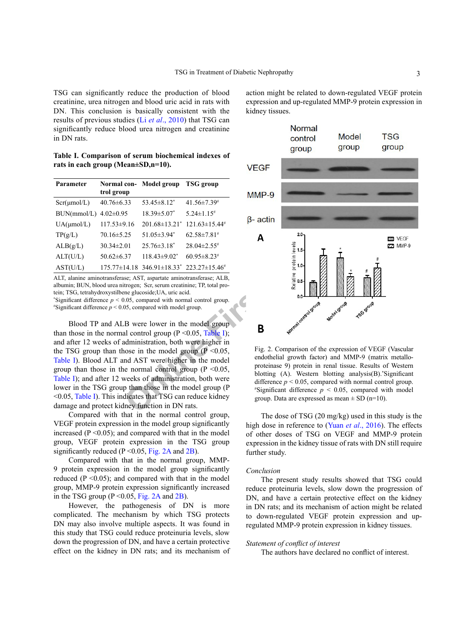TSG can significantly reduce the production of blood creatinine, urea nitrogen and blood uric acid in rats with DN. This conclusion is basically consistent with the results of previous studies (Li *et al*[., 2010](#page-3-10)) that TSG can significantly reduce blood urea nitrogen and creatinine in DN rats.

<span id="page-2-0"></span>**Table I. Comparison of serum biochemical indexes of rats in each group (Mean±SD,n=10).**

| Parameter        | trol group        | Normal con- Model group                | <b>TSG</b> group              |
|------------------|-------------------|----------------------------------------|-------------------------------|
| $Scr(\mu mol/L)$ | $40.76 \pm 6.33$  | $53.45 \pm 8.12^*$                     | $41.56 \pm 7.39$              |
| BUN(mmol/L)      | $4.02 \pm 0.95$   | $18.39 \pm 5.07$ *                     | $5.24 \pm 1.15$ <sup>#</sup>  |
| $UA(\mu mol/L)$  | $117.53 \pm 9.16$ | $201.68 \pm 13.21^*$                   | $121.63 \pm 15.44^*$          |
| TP(g/L)          | $70.16 \pm 5.25$  | $51.05\pm3.94$ <sup>*</sup>            | $62.58 \pm 7.81$ <sup>#</sup> |
| ALB(g/L)         | $30.34 \pm 2.01$  | $25.76 \pm 3.18^*$                     | $28.04 \pm 2.55$ <sup>#</sup> |
| ALT(U/L)         | $50.62 \pm 6.37$  | $118.43 \pm 9.02^*$                    | $60.95 \pm 8.23$ <sup>#</sup> |
| AST(U/L)         |                   | $175.77 \pm 14.18$ 346.91 $\pm$ 18.33* | $223.27 \pm 15.46^{\#}$       |
|                  |                   |                                        |                               |

ALT, alanine aminotransferase; AST, aspartate aminotransferase; ALB, albumin; BUN, blood urea nitrogen; Scr, serum creatinine; TP, total protein; TSG, tetrahydroxystilbene glucoside;UA, uric acid.

\*Significant difference  $p < 0.05$ , compared with normal control group.  $*$ Significant difference  $p < 0.05$ , compared with model group.

Blood TP and ALB were lower in the model group than those in the normal control group ( $P \le 0.05$ , Table I); and after 12 weeks of administration, both were higher in the TSG group than those in the model group ( $P < 0.05$ , [Table I\)](#page-2-0). Blood ALT and AST were higher in the model group than those in the normal control group ( $P \le 0.05$ , [Table I](#page-2-0)); and after 12 weeks of administration, both were lower in the TSG group than those in the model group (P <0.05, [Table I](#page-2-0)). This indicates that TSG can reduce kidney damage and protect kidney function in DN rats.

Compared with that in the normal control group, VEGF protein expression in the model group significantly increased ( $P \le 0.05$ ); and compared with that in the model group, VEGF protein expression in the TSG group significantly reduced ( $P \le 0.05$ , [Fig. 2A](#page-2-1) and [2B](#page-2-1)).

Compared with that in the normal group, MMP-9 protein expression in the model group significantly reduced ( $P \le 0.05$ ); and compared with that in the model group, MMP-9 protein expression significantly increased in the TSG group  $(P < 0.05$ , [Fig. 2A](#page-2-1) and [2B](#page-2-1)).

However, the pathogenesis of DN is more complicated. The mechanism by which TSG protects DN may also involve multiple aspects. It was found in this study that TSG could reduce proteinuria levels, slow down the progression of DN, and have a certain protective effect on the kidney in DN rats; and its mechanism of action might be related to down-regulated VEGF protein expression and up-regulated MMP-9 protein expression in kidney tissues.



<span id="page-2-1"></span>Fig. 2. Comparison of the expression of VEGF (Vascular endothelial growth factor) and MMP-9 (matrix metalloproteinase 9) protein in renal tissue. Results of Western blotting (A). Western blotting analysis(B).\* Significant difference  $p < 0.05$ , compared with normal control group.  $*$ Significant difference  $p < 0.05$ , compared with model group. Data are expressed as mean  $\pm$  SD (n=10).

The dose of TSG (20 mg/kg) used in this study is the high dose in reference to (Yuan *et al*[., 2016](#page-3-11)). The effects of other doses of TSG on VEGF and MMP-9 protein expression in the kidney tissue of rats with DN still require further study.

## *Conclusion*

The present study results showed that TSG could reduce proteinuria levels, slow down the progression of DN, and have a certain protective effect on the kidney in DN rats; and its mechanism of action might be related to down-regulated VEGF protein expression and upregulated MMP-9 protein expression in kidney tissues.

## *Statement of conflict of interest*

The authors have declared no conflict of interest.